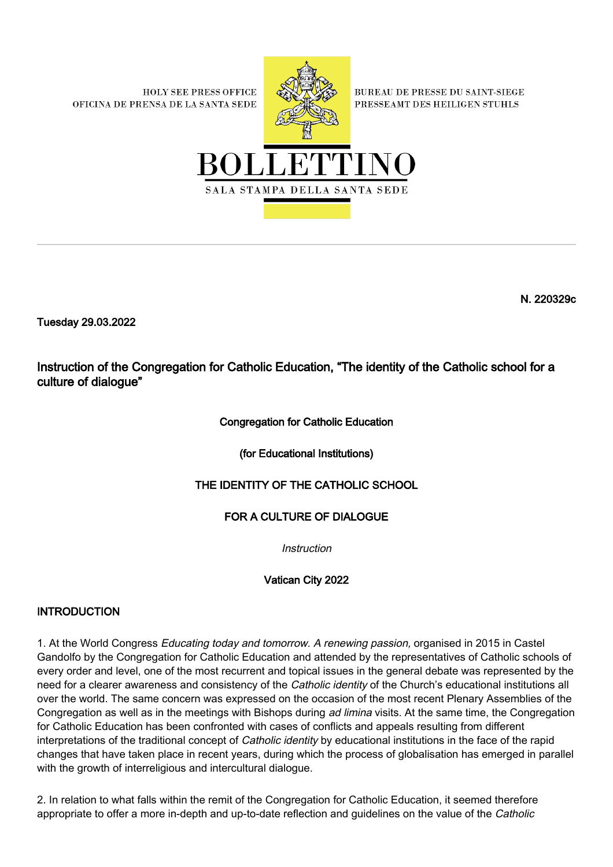**HOLY SEE PRESS OFFICE** OFICINA DE PRENSA DE LA SANTA SEDE



**BUREAU DE PRESSE DU SAINT-SIEGE** PRESSEAMT DES HEILIGEN STUHLS



N. 220329c

Tuesday 29.03.2022

Instruction of the Congregation for Catholic Education, "The identity of the Catholic school for a culture of dialogue"

# Congregation for Catholic Education

(for Educational Institutions)

# THE IDENTITY OF THE CATHOLIC SCHOOL

# FOR A CULTURE OF DIALOGUE

**Instruction** 

Vatican City 2022

# INTRODUCTION

1. At the World Congress Educating today and tomorrow. A renewing passion, organised in 2015 in Castel Gandolfo by the Congregation for Catholic Education and attended by the representatives of Catholic schools of every order and level, one of the most recurrent and topical issues in the general debate was represented by the need for a clearer awareness and consistency of the *Catholic identity* of the Church's educational institutions all over the world. The same concern was expressed on the occasion of the most recent Plenary Assemblies of the Congregation as well as in the meetings with Bishops during ad limina visits. At the same time, the Congregation for Catholic Education has been confronted with cases of conflicts and appeals resulting from different interpretations of the traditional concept of Catholic identity by educational institutions in the face of the rapid changes that have taken place in recent years, during which the process of globalisation has emerged in parallel with the growth of interreligious and intercultural dialogue.

2. In relation to what falls within the remit of the Congregation for Catholic Education, it seemed therefore appropriate to offer a more in-depth and up-to-date reflection and guidelines on the value of the Catholic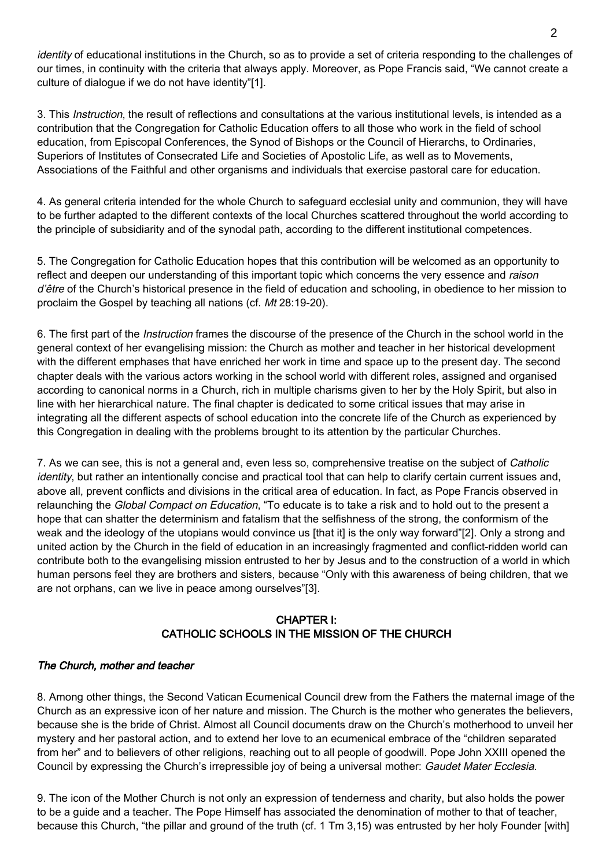identity of educational institutions in the Church, so as to provide a set of criteria responding to the challenges of our times, in continuity with the criteria that always apply. Moreover, as Pope Francis said, "We cannot create a culture of dialogue if we do not have identity"[1].

3. This *Instruction*, the result of reflections and consultations at the various institutional levels, is intended as a contribution that the Congregation for Catholic Education offers to all those who work in the field of school education, from Episcopal Conferences, the Synod of Bishops or the Council of Hierarchs, to Ordinaries, Superiors of Institutes of Consecrated Life and Societies of Apostolic Life, as well as to Movements, Associations of the Faithful and other organisms and individuals that exercise pastoral care for education.

4. As general criteria intended for the whole Church to safeguard ecclesial unity and communion, they will have to be further adapted to the different contexts of the local Churches scattered throughout the world according to the principle of subsidiarity and of the synodal path, according to the different institutional competences.

5. The Congregation for Catholic Education hopes that this contribution will be welcomed as an opportunity to reflect and deepen our understanding of this important topic which concerns the very essence and raison d'être of the Church's historical presence in the field of education and schooling, in obedience to her mission to proclaim the Gospel by teaching all nations (cf. Mt 28:19-20).

6. The first part of the *Instruction* frames the discourse of the presence of the Church in the school world in the general context of her evangelising mission: the Church as mother and teacher in her historical development with the different emphases that have enriched her work in time and space up to the present day. The second chapter deals with the various actors working in the school world with different roles, assigned and organised according to canonical norms in a Church, rich in multiple charisms given to her by the Holy Spirit, but also in line with her hierarchical nature. The final chapter is dedicated to some critical issues that may arise in integrating all the different aspects of school education into the concrete life of the Church as experienced by this Congregation in dealing with the problems brought to its attention by the particular Churches.

7. As we can see, this is not a general and, even less so, comprehensive treatise on the subject of Catholic identity, but rather an intentionally concise and practical tool that can help to clarify certain current issues and, above all, prevent conflicts and divisions in the critical area of education. In fact, as Pope Francis observed in relaunching the Global Compact on Education, "To educate is to take a risk and to hold out to the present a hope that can shatter the determinism and fatalism that the selfishness of the strong, the conformism of the weak and the ideology of the utopians would convince us [that it] is the only way forward"[2]. Only a strong and united action by the Church in the field of education in an increasingly fragmented and conflict-ridden world can contribute both to the evangelising mission entrusted to her by Jesus and to the construction of a world in which human persons feel they are brothers and sisters, because "Only with this awareness of being children, that we are not orphans, can we live in peace among ourselves"[3].

# CHAPTER I: CATHOLIC SCHOOLS IN THE MISSION OF THE CHURCH

# The Church, mother and teacher

8. Among other things, the Second Vatican Ecumenical Council drew from the Fathers the maternal image of the Church as an expressive icon of her nature and mission. The Church is the mother who generates the believers, because she is the bride of Christ. Almost all Council documents draw on the Church's motherhood to unveil her mystery and her pastoral action, and to extend her love to an ecumenical embrace of the "children separated from her" and to believers of other religions, reaching out to all people of goodwill. Pope John XXIII opened the Council by expressing the Church's irrepressible joy of being a universal mother: Gaudet Mater Ecclesia.

9. The icon of the Mother Church is not only an expression of tenderness and charity, but also holds the power to be a guide and a teacher. The Pope Himself has associated the denomination of mother to that of teacher, because this Church, "the pillar and ground of the truth (cf. 1 Tm 3,15) was entrusted by her holy Founder [with]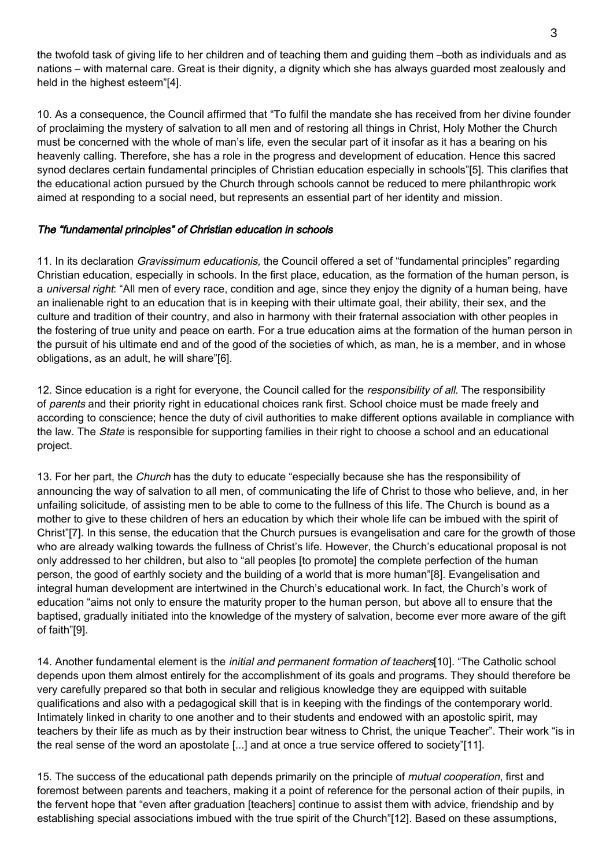the twofold task of giving life to her children and of teaching them and guiding them –both as individuals and as nations – with maternal care. Great is their dignity, a dignity which she has always guarded most zealously and held in the highest esteem"[4].

10. As a consequence, the Council affirmed that "To fulfil the mandate she has received from her divine founder of proclaiming the mystery of salvation to all men and of restoring all things in Christ, Holy Mother the Church must be concerned with the whole of man's life, even the secular part of it insofar as it has a bearing on his heavenly calling. Therefore, she has a role in the progress and development of education. Hence this sacred synod declares certain fundamental principles of Christian education especially in schools"[5]. This clarifies that the educational action pursued by the Church through schools cannot be reduced to mere philanthropic work aimed at responding to a social need, but represents an essential part of her identity and mission.

### The "fundamental principles" of Christian education in schools

11. In its declaration *Gravissimum educationis*, the Council offered a set of "fundamental principles" regarding Christian education, especially in schools. In the first place, education, as the formation of the human person, is a *universal right*: "All men of every race, condition and age, since they enjoy the dignity of a human being, have an inalienable right to an education that is in keeping with their ultimate goal, their ability, their sex, and the culture and tradition of their country, and also in harmony with their fraternal association with other peoples in the fostering of true unity and peace on earth. For a true education aims at the formation of the human person in the pursuit of his ultimate end and of the good of the societies of which, as man, he is a member, and in whose obligations, as an adult, he will share"[6].

12. Since education is a right for everyone, the Council called for the responsibility of all. The responsibility of parents and their priority right in educational choices rank first. School choice must be made freely and according to conscience; hence the duty of civil authorities to make different options available in compliance with the law. The State is responsible for supporting families in their right to choose a school and an educational project.

13. For her part, the Church has the duty to educate "especially because she has the responsibility of announcing the way of salvation to all men, of communicating the life of Christ to those who believe, and, in her unfailing solicitude, of assisting men to be able to come to the fullness of this life. The Church is bound as a mother to give to these children of hers an education by which their whole life can be imbued with the spirit of Christ"[7]. In this sense, the education that the Church pursues is evangelisation and care for the growth of those who are already walking towards the fullness of Christ's life. However, the Church's educational proposal is not only addressed to her children, but also to "all peoples [to promote] the complete perfection of the human person, the good of earthly society and the building of a world that is more human"[8]. Evangelisation and integral human development are intertwined in the Church's educational work. In fact, the Church's work of education "aims not only to ensure the maturity proper to the human person, but above all to ensure that the baptised, gradually initiated into the knowledge of the mystery of salvation, become ever more aware of the gift of faith"[9].

14. Another fundamental element is the initial and permanent formation of teachers[10]. "The Catholic school depends upon them almost entirely for the accomplishment of its goals and programs. They should therefore be very carefully prepared so that both in secular and religious knowledge they are equipped with suitable qualifications and also with a pedagogical skill that is in keeping with the findings of the contemporary world. Intimately linked in charity to one another and to their students and endowed with an apostolic spirit, may teachers by their life as much as by their instruction bear witness to Christ, the unique Teacher". Their work "is in the real sense of the word an apostolate [...] and at once a true service offered to society"[11].

15. The success of the educational path depends primarily on the principle of *mutual cooperation*, first and foremost between parents and teachers, making it a point of reference for the personal action of their pupils, in the fervent hope that "even after graduation [teachers] continue to assist them with advice, friendship and by establishing special associations imbued with the true spirit of the Church"[12]. Based on these assumptions,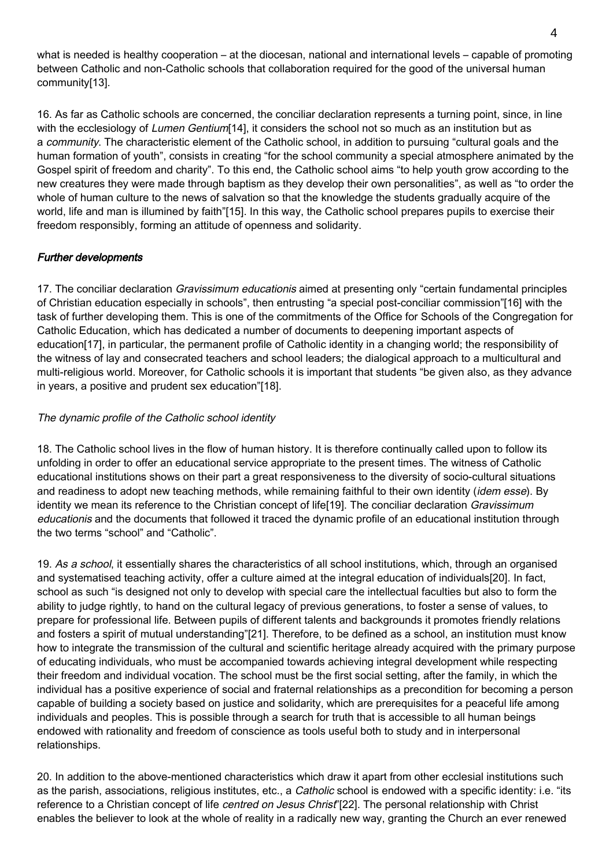what is needed is healthy cooperation – at the diocesan, national and international levels – capable of promoting between Catholic and non-Catholic schools that collaboration required for the good of the universal human community[13].

16. As far as Catholic schools are concerned, the conciliar declaration represents a turning point, since, in line with the ecclesiology of Lumen Gentium[14], it considers the school not so much as an institution but as a community. The characteristic element of the Catholic school, in addition to pursuing "cultural goals and the human formation of youth", consists in creating "for the school community a special atmosphere animated by the Gospel spirit of freedom and charity". To this end, the Catholic school aims "to help youth grow according to the new creatures they were made through baptism as they develop their own personalities", as well as "to order the whole of human culture to the news of salvation so that the knowledge the students gradually acquire of the world, life and man is illumined by faith"[15]. In this way, the Catholic school prepares pupils to exercise their freedom responsibly, forming an attitude of openness and solidarity.

# Further developments

17. The conciliar declaration *Gravissimum educationis* aimed at presenting only "certain fundamental principles of Christian education especially in schools", then entrusting "a special post-conciliar commission"[16] with the task of further developing them. This is one of the commitments of the Office for Schools of the Congregation for Catholic Education, which has dedicated a number of documents to deepening important aspects of education[17], in particular, the permanent profile of Catholic identity in a changing world; the responsibility of the witness of lay and consecrated teachers and school leaders; the dialogical approach to a multicultural and multi-religious world. Moreover, for Catholic schools it is important that students "be given also, as they advance in years, a positive and prudent sex education"[18].

### The dynamic profile of the Catholic school identity

18. The Catholic school lives in the flow of human history. It is therefore continually called upon to follow its unfolding in order to offer an educational service appropriate to the present times. The witness of Catholic educational institutions shows on their part a great responsiveness to the diversity of socio-cultural situations and readiness to adopt new teaching methods, while remaining faithful to their own identity *(idem esse)*. By identity we mean its reference to the Christian concept of life<sup>[19]</sup>. The conciliar declaration *Gravissimum* educationis and the documents that followed it traced the dynamic profile of an educational institution through the two terms "school" and "Catholic".

19. As a school, it essentially shares the characteristics of all school institutions, which, through an organised and systematised teaching activity, offer a culture aimed at the integral education of individuals[20]. In fact, school as such "is designed not only to develop with special care the intellectual faculties but also to form the ability to judge rightly, to hand on the cultural legacy of previous generations, to foster a sense of values, to prepare for professional life. Between pupils of different talents and backgrounds it promotes friendly relations and fosters a spirit of mutual understanding"[21]. Therefore, to be defined as a school, an institution must know how to integrate the transmission of the cultural and scientific heritage already acquired with the primary purpose of educating individuals, who must be accompanied towards achieving integral development while respecting their freedom and individual vocation. The school must be the first social setting, after the family, in which the individual has a positive experience of social and fraternal relationships as a precondition for becoming a person capable of building a society based on justice and solidarity, which are prerequisites for a peaceful life among individuals and peoples. This is possible through a search for truth that is accessible to all human beings endowed with rationality and freedom of conscience as tools useful both to study and in interpersonal relationships.

20. In addition to the above-mentioned characteristics which draw it apart from other ecclesial institutions such as the parish, associations, religious institutes, etc., a *Catholic* school is endowed with a specific identity: i.e. "its reference to a Christian concept of life *centred on Jesus Christ*"[22]. The personal relationship with Christ enables the believer to look at the whole of reality in a radically new way, granting the Church an ever renewed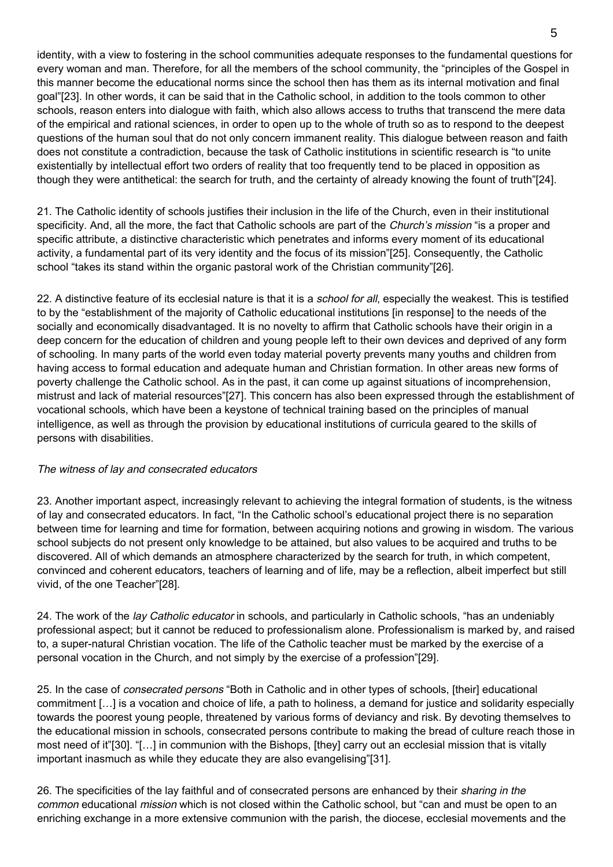identity, with a view to fostering in the school communities adequate responses to the fundamental questions for every woman and man. Therefore, for all the members of the school community, the "principles of the Gospel in this manner become the educational norms since the school then has them as its internal motivation and final goal"[23]. In other words, it can be said that in the Catholic school, in addition to the tools common to other schools, reason enters into dialogue with faith, which also allows access to truths that transcend the mere data of the empirical and rational sciences, in order to open up to the whole of truth so as to respond to the deepest questions of the human soul that do not only concern immanent reality. This dialogue between reason and faith does not constitute a contradiction, because the task of Catholic institutions in scientific research is "to unite existentially by intellectual effort two orders of reality that too frequently tend to be placed in opposition as though they were antithetical: the search for truth, and the certainty of already knowing the fount of truth"[24].

21. The Catholic identity of schools justifies their inclusion in the life of the Church, even in their institutional specificity. And, all the more, the fact that Catholic schools are part of the Church's mission "is a proper and specific attribute, a distinctive characteristic which penetrates and informs every moment of its educational activity, a fundamental part of its very identity and the focus of its mission"[25]. Consequently, the Catholic school "takes its stand within the organic pastoral work of the Christian community"[26].

22. A distinctive feature of its ecclesial nature is that it is a *school for all*, especially the weakest. This is testified to by the "establishment of the majority of Catholic educational institutions [in response] to the needs of the socially and economically disadvantaged. It is no novelty to affirm that Catholic schools have their origin in a deep concern for the education of children and young people left to their own devices and deprived of any form of schooling. In many parts of the world even today material poverty prevents many youths and children from having access to formal education and adequate human and Christian formation. In other areas new forms of poverty challenge the Catholic school. As in the past, it can come up against situations of incomprehension, mistrust and lack of material resources"[27]. This concern has also been expressed through the establishment of vocational schools, which have been a keystone of technical training based on the principles of manual intelligence, as well as through the provision by educational institutions of curricula geared to the skills of persons with disabilities.

#### The witness of lay and consecrated educators

23. Another important aspect, increasingly relevant to achieving the integral formation of students, is the witness of lay and consecrated educators. In fact, "In the Catholic school's educational project there is no separation between time for learning and time for formation, between acquiring notions and growing in wisdom. The various school subjects do not present only knowledge to be attained, but also values to be acquired and truths to be discovered. All of which demands an atmosphere characterized by the search for truth, in which competent, convinced and coherent educators, teachers of learning and of life, may be a reflection, albeit imperfect but still vivid, of the one Teacher"[28].

24. The work of the lay Catholic educator in schools, and particularly in Catholic schools, "has an undeniably professional aspect; but it cannot be reduced to professionalism alone. Professionalism is marked by, and raised to, a super-natural Christian vocation. The life of the Catholic teacher must be marked by the exercise of a personal vocation in the Church, and not simply by the exercise of a profession"[29].

25. In the case of consecrated persons "Both in Catholic and in other types of schools, [their] educational commitment […] is a vocation and choice of life, a path to holiness, a demand for justice and solidarity especially towards the poorest young people, threatened by various forms of deviancy and risk. By devoting themselves to the educational mission in schools, consecrated persons contribute to making the bread of culture reach those in most need of it"[30]. "[…] in communion with the Bishops, [they] carry out an ecclesial mission that is vitally important inasmuch as while they educate they are also evangelising"[31].

26. The specificities of the lay faithful and of consecrated persons are enhanced by their sharing in the common educational mission which is not closed within the Catholic school, but "can and must be open to an enriching exchange in a more extensive communion with the parish, the diocese, ecclesial movements and the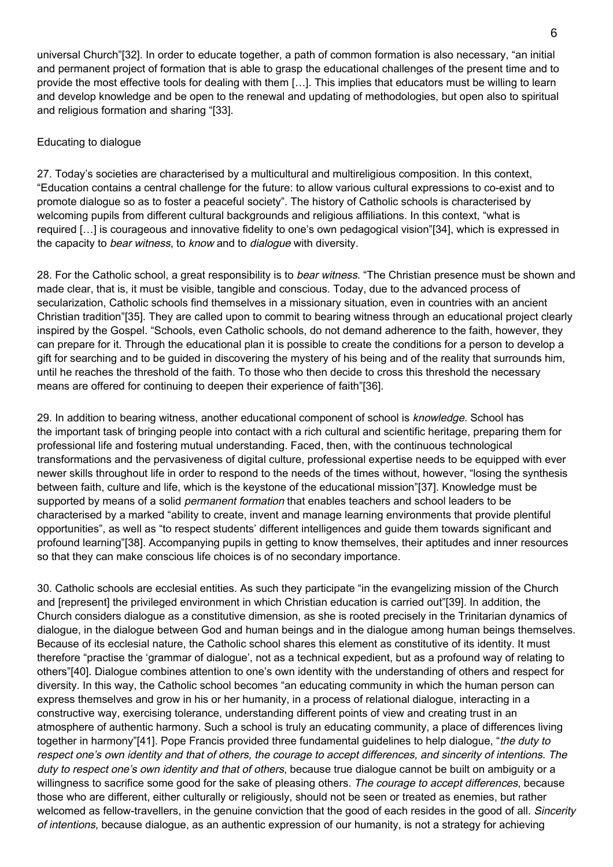universal Church"[32]. In order to educate together, a path of common formation is also necessary, "an initial and permanent project of formation that is able to grasp the educational challenges of the present time and to provide the most effective tools for dealing with them […]. This implies that educators must be willing to learn and develop knowledge and be open to the renewal and updating of methodologies, but open also to spiritual and religious formation and sharing "[33].

#### Educating to dialogue

27. Today's societies are characterised by a multicultural and multireligious composition. In this context, "Education contains a central challenge for the future: to allow various cultural expressions to co-exist and to promote dialogue so as to foster a peaceful society". The history of Catholic schools is characterised by welcoming pupils from different cultural backgrounds and religious affiliations. In this context, "what is required […] is courageous and innovative fidelity to one's own pedagogical vision"[34], which is expressed in the capacity to bear witness, to know and to dialogue with diversity.

28. For the Catholic school, a great responsibility is to bear witness. "The Christian presence must be shown and made clear, that is, it must be visible, tangible and conscious. Today, due to the advanced process of secularization, Catholic schools find themselves in a missionary situation, even in countries with an ancient Christian tradition"[35]. They are called upon to commit to bearing witness through an educational project clearly inspired by the Gospel. "Schools, even Catholic schools, do not demand adherence to the faith, however, they can prepare for it. Through the educational plan it is possible to create the conditions for a person to develop a gift for searching and to be guided in discovering the mystery of his being and of the reality that surrounds him, until he reaches the threshold of the faith. To those who then decide to cross this threshold the necessary means are offered for continuing to deepen their experience of faith"[36].

29. In addition to bearing witness, another educational component of school is knowledge. School has the important task of bringing people into contact with a rich cultural and scientific heritage, preparing them for professional life and fostering mutual understanding. Faced, then, with the continuous technological transformations and the pervasiveness of digital culture, professional expertise needs to be equipped with ever newer skills throughout life in order to respond to the needs of the times without, however, "losing the synthesis between faith, culture and life, which is the keystone of the educational mission"[37]. Knowledge must be supported by means of a solid *permanent formation* that enables teachers and school leaders to be characterised by a marked "ability to create, invent and manage learning environments that provide plentiful opportunities", as well as "to respect students' different intelligences and guide them towards significant and profound learning"[38]. Accompanying pupils in getting to know themselves, their aptitudes and inner resources so that they can make conscious life choices is of no secondary importance.

30. Catholic schools are ecclesial entities. As such they participate "in the evangelizing mission of the Church and [represent] the privileged environment in which Christian education is carried out"[39]. In addition, the Church considers dialogue as a constitutive dimension, as she is rooted precisely in the Trinitarian dynamics of dialogue, in the dialogue between God and human beings and in the dialogue among human beings themselves. Because of its ecclesial nature, the Catholic school shares this element as constitutive of its identity. It must therefore "practise the 'grammar of dialogue', not as a technical expedient, but as a profound way of relating to others"[40]. Dialogue combines attention to one's own identity with the understanding of others and respect for diversity. In this way, the Catholic school becomes "an educating community in which the human person can express themselves and grow in his or her humanity, in a process of relational dialogue, interacting in a constructive way, exercising tolerance, understanding different points of view and creating trust in an atmosphere of authentic harmony. Such a school is truly an educating community, a place of differences living together in harmony"[41]. Pope Francis provided three fundamental guidelines to help dialogue, "the duty to respect one's own identity and that of others, the courage to accept differences, and sincerity of intentions. The duty to respect one's own identity and that of others, because true dialogue cannot be built on ambiguity or a willingness to sacrifice some good for the sake of pleasing others. The courage to accept differences, because those who are different, either culturally or religiously, should not be seen or treated as enemies, but rather welcomed as fellow-travellers, in the genuine conviction that the good of each resides in the good of all. Sincerity of intentions, because dialogue, as an authentic expression of our humanity, is not a strategy for achieving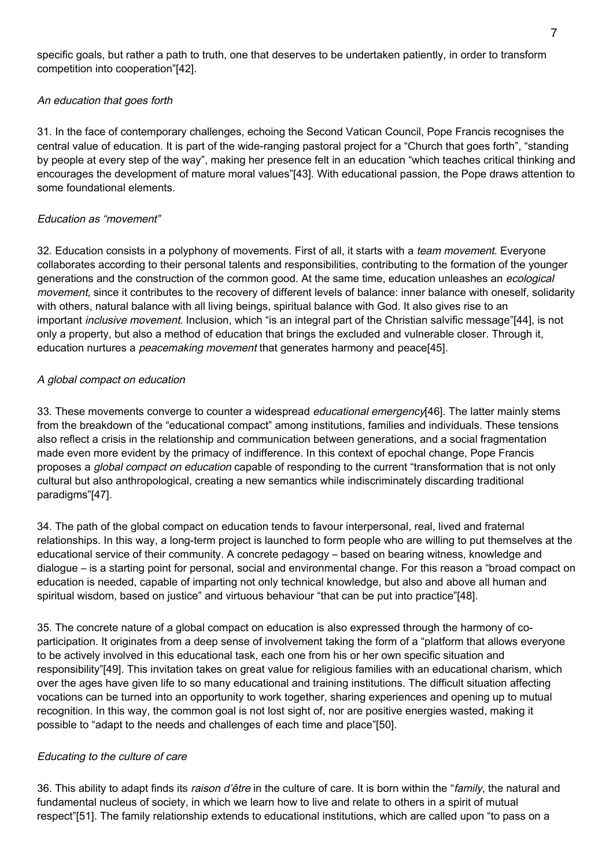#### An education that goes forth

31. In the face of contemporary challenges, echoing the Second Vatican Council, Pope Francis recognises the central value of education. It is part of the wide-ranging pastoral project for a "Church that goes forth", "standing by people at every step of the way", making her presence felt in an education "which teaches critical thinking and encourages the development of mature moral values"[43]. With educational passion, the Pope draws attention to some foundational elements.

#### Education as "movement"

32. Education consists in a polyphony of movements. First of all, it starts with a *team movement*. Everyone collaborates according to their personal talents and responsibilities, contributing to the formation of the younger generations and the construction of the common good. At the same time, education unleashes an ecological movement, since it contributes to the recovery of different levels of balance: inner balance with oneself, solidarity with others, natural balance with all living beings, spiritual balance with God. It also gives rise to an important inclusive movement. Inclusion, which "is an integral part of the Christian salvific message"[44], is not only a property, but also a method of education that brings the excluded and vulnerable closer. Through it, education nurtures a *peacemaking movement* that generates harmony and peace[45].

### A global compact on education

33. These movements converge to counter a widespread *educational emergency*[46]. The latter mainly stems from the breakdown of the "educational compact" among institutions, families and individuals. These tensions also reflect a crisis in the relationship and communication between generations, and a social fragmentation made even more evident by the primacy of indifference. In this context of epochal change, Pope Francis proposes a global compact on education capable of responding to the current "transformation that is not only cultural but also anthropological, creating a new semantics while indiscriminately discarding traditional paradigms"[47].

34. The path of the global compact on education tends to favour interpersonal, real, lived and fraternal relationships. In this way, a long-term project is launched to form people who are willing to put themselves at the educational service of their community. A concrete pedagogy – based on bearing witness, knowledge and dialogue – is a starting point for personal, social and environmental change. For this reason a "broad compact on education is needed, capable of imparting not only technical knowledge, but also and above all human and spiritual wisdom, based on justice" and virtuous behaviour "that can be put into practice"[48].

35. The concrete nature of a global compact on education is also expressed through the harmony of coparticipation. It originates from a deep sense of involvement taking the form of a "platform that allows everyone to be actively involved in this educational task, each one from his or her own specific situation and responsibility"[49]. This invitation takes on great value for religious families with an educational charism, which over the ages have given life to so many educational and training institutions. The difficult situation affecting vocations can be turned into an opportunity to work together, sharing experiences and opening up to mutual recognition. In this way, the common goal is not lost sight of, nor are positive energies wasted, making it possible to "adapt to the needs and challenges of each time and place"[50].

#### Educating to the culture of care

36. This ability to adapt finds its raison d'être in the culture of care. It is born within the "family, the natural and fundamental nucleus of society, in which we learn how to live and relate to others in a spirit of mutual respect"[51]. The family relationship extends to educational institutions, which are called upon "to pass on a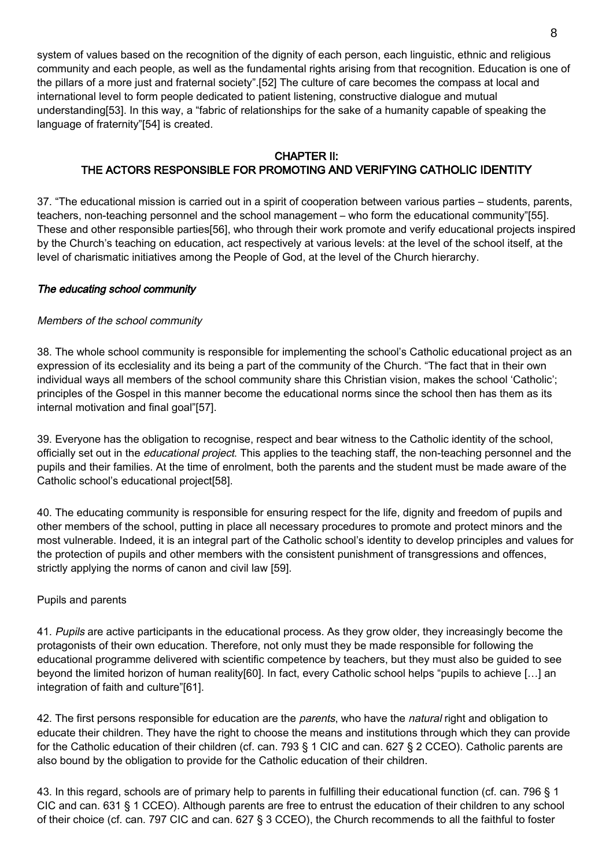system of values based on the recognition of the dignity of each person, each linguistic, ethnic and religious community and each people, as well as the fundamental rights arising from that recognition. Education is one of the pillars of a more just and fraternal society".[52] The culture of care becomes the compass at local and international level to form people dedicated to patient listening, constructive dialogue and mutual understanding[53]. In this way, a "fabric of relationships for the sake of a humanity capable of speaking the language of fraternity"[54] is created.

# CHAPTER II: THE ACTORS RESPONSIBLE FOR PROMOTING AND VERIFYING CATHOLIC IDENTITY

37. "The educational mission is carried out in a spirit of cooperation between various parties – students, parents, teachers, non-teaching personnel and the school management – who form the educational community"[55]. These and other responsible parties[56], who through their work promote and verify educational projects inspired by the Church's teaching on education, act respectively at various levels: at the level of the school itself, at the level of charismatic initiatives among the People of God, at the level of the Church hierarchy.

### The educating school community

### Members of the school community

38. The whole school community is responsible for implementing the school's Catholic educational project as an expression of its ecclesiality and its being a part of the community of the Church. "The fact that in their own individual ways all members of the school community share this Christian vision, makes the school 'Catholic'; principles of the Gospel in this manner become the educational norms since the school then has them as its internal motivation and final goal"[57].

39. Everyone has the obligation to recognise, respect and bear witness to the Catholic identity of the school, officially set out in the educational project. This applies to the teaching staff, the non-teaching personnel and the pupils and their families. At the time of enrolment, both the parents and the student must be made aware of the Catholic school's educational project[58].

40. The educating community is responsible for ensuring respect for the life, dignity and freedom of pupils and other members of the school, putting in place all necessary procedures to promote and protect minors and the most vulnerable. Indeed, it is an integral part of the Catholic school's identity to develop principles and values for the protection of pupils and other members with the consistent punishment of transgressions and offences, strictly applying the norms of canon and civil law [59].

#### Pupils and parents

41. Pupils are active participants in the educational process. As they grow older, they increasingly become the protagonists of their own education. Therefore, not only must they be made responsible for following the educational programme delivered with scientific competence by teachers, but they must also be guided to see beyond the limited horizon of human reality[60]. In fact, every Catholic school helps "pupils to achieve […] an integration of faith and culture"[61].

42. The first persons responsible for education are the *parents*, who have the *natural* right and obligation to educate their children. They have the right to choose the means and institutions through which they can provide for the Catholic education of their children (cf. can. 793 § 1 CIC and can. 627 § 2 CCEO). Catholic parents are also bound by the obligation to provide for the Catholic education of their children.

43. In this regard, schools are of primary help to parents in fulfilling their educational function (cf. can. 796 § 1 CIC and can. 631 § 1 CCEO). Although parents are free to entrust the education of their children to any school of their choice (cf. can. 797 CIC and can. 627 § 3 CCEO), the Church recommends to all the faithful to foster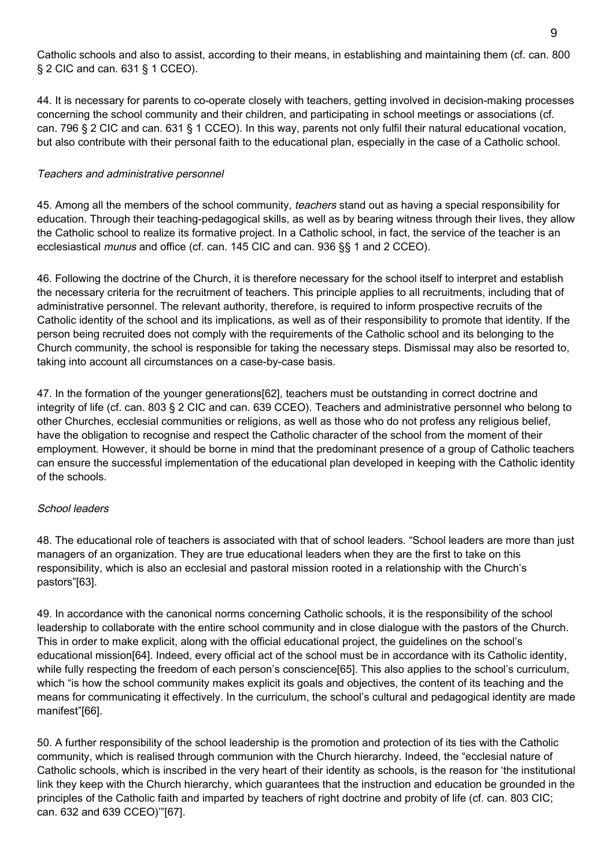Catholic schools and also to assist, according to their means, in establishing and maintaining them (cf. can. 800 § 2 CIC and can. 631 § 1 CCEO).

44. It is necessary for parents to co-operate closely with teachers, getting involved in decision-making processes concerning the school community and their children, and participating in school meetings or associations (cf. can. 796 § 2 CIC and can. 631 § 1 CCEO). In this way, parents not only fulfil their natural educational vocation, but also contribute with their personal faith to the educational plan, especially in the case of a Catholic school.

#### Teachers and administrative personnel

45. Among all the members of the school community, teachers stand out as having a special responsibility for education. Through their teaching-pedagogical skills, as well as by bearing witness through their lives, they allow the Catholic school to realize its formative project. In a Catholic school, in fact, the service of the teacher is an ecclesiastical munus and office (cf. can. 145 CIC and can. 936 §§ 1 and 2 CCEO).

46. Following the doctrine of the Church, it is therefore necessary for the school itself to interpret and establish the necessary criteria for the recruitment of teachers. This principle applies to all recruitments, including that of administrative personnel. The relevant authority, therefore, is required to inform prospective recruits of the Catholic identity of the school and its implications, as well as of their responsibility to promote that identity. If the person being recruited does not comply with the requirements of the Catholic school and its belonging to the Church community, the school is responsible for taking the necessary steps. Dismissal may also be resorted to, taking into account all circumstances on a case-by-case basis.

47. In the formation of the younger generations[62], teachers must be outstanding in correct doctrine and integrity of life (cf. can. 803 § 2 CIC and can. 639 CCEO). Teachers and administrative personnel who belong to other Churches, ecclesial communities or religions, as well as those who do not profess any religious belief, have the obligation to recognise and respect the Catholic character of the school from the moment of their employment. However, it should be borne in mind that the predominant presence of a group of Catholic teachers can ensure the successful implementation of the educational plan developed in keeping with the Catholic identity of the schools.

#### School leaders

48. The educational role of teachers is associated with that of school leaders. "School leaders are more than just managers of an organization. They are true educational leaders when they are the first to take on this responsibility, which is also an ecclesial and pastoral mission rooted in a relationship with the Church's pastors"[63].

49. In accordance with the canonical norms concerning Catholic schools, it is the responsibility of the school leadership to collaborate with the entire school community and in close dialogue with the pastors of the Church. This in order to make explicit, along with the official educational project, the guidelines on the school's educational mission[64]. Indeed, every official act of the school must be in accordance with its Catholic identity, while fully respecting the freedom of each person's conscience[65]. This also applies to the school's curriculum, which "is how the school community makes explicit its goals and objectives, the content of its teaching and the means for communicating it effectively. In the curriculum, the school's cultural and pedagogical identity are made manifest"[66].

50. A further responsibility of the school leadership is the promotion and protection of its ties with the Catholic community, which is realised through communion with the Church hierarchy. Indeed, the "ecclesial nature of Catholic schools, which is inscribed in the very heart of their identity as schools, is the reason for 'the institutional link they keep with the Church hierarchy, which guarantees that the instruction and education be grounded in the principles of the Catholic faith and imparted by teachers of right doctrine and probity of life (cf. can. 803 CIC; can. 632 and 639 CCEO)'"[67].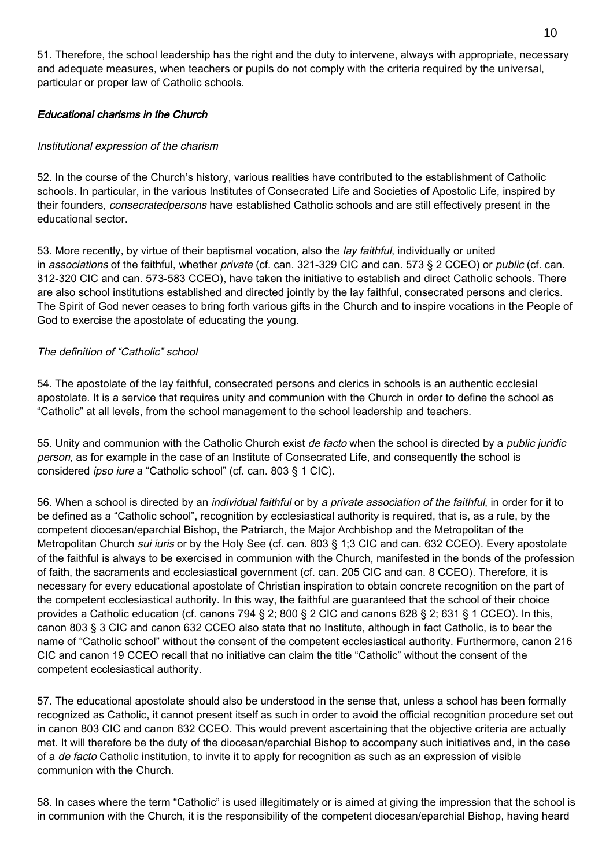51. Therefore, the school leadership has the right and the duty to intervene, always with appropriate, necessary and adequate measures, when teachers or pupils do not comply with the criteria required by the universal, particular or proper law of Catholic schools.

#### Educational charisms in the Church

#### Institutional expression of the charism

52. In the course of the Church's history, various realities have contributed to the establishment of Catholic schools. In particular, in the various Institutes of Consecrated Life and Societies of Apostolic Life, inspired by their founders, consecratedpersons have established Catholic schools and are still effectively present in the educational sector.

53. More recently, by virtue of their baptismal vocation, also the lay faithful, individually or united in associations of the faithful, whether private (cf. can. 321-329 CIC and can. 573 § 2 CCEO) or public (cf. can. 312-320 CIC and can. 573-583 CCEO), have taken the initiative to establish and direct Catholic schools. There are also school institutions established and directed jointly by the lay faithful, consecrated persons and clerics. The Spirit of God never ceases to bring forth various gifts in the Church and to inspire vocations in the People of God to exercise the apostolate of educating the young.

#### The definition of "Catholic" school

54. The apostolate of the lay faithful, consecrated persons and clerics in schools is an authentic ecclesial apostolate. It is a service that requires unity and communion with the Church in order to define the school as "Catholic" at all levels, from the school management to the school leadership and teachers.

55. Unity and communion with the Catholic Church exist de facto when the school is directed by a public juridic person, as for example in the case of an Institute of Consecrated Life, and consequently the school is considered ipso iure a "Catholic school" (cf. can. 803 § 1 CIC).

56. When a school is directed by an individual faithful or by a private association of the faithful, in order for it to be defined as a "Catholic school", recognition by ecclesiastical authority is required, that is, as a rule, by the competent diocesan/eparchial Bishop, the Patriarch, the Major Archbishop and the Metropolitan of the Metropolitan Church *sui iuris* or by the Holy See (cf. can. 803 § 1;3 CIC and can. 632 CCEO). Every apostolate of the faithful is always to be exercised in communion with the Church, manifested in the bonds of the profession of faith, the sacraments and ecclesiastical government (cf. can. 205 CIC and can. 8 CCEO). Therefore, it is necessary for every educational apostolate of Christian inspiration to obtain concrete recognition on the part of the competent ecclesiastical authority. In this way, the faithful are guaranteed that the school of their choice provides a Catholic education (cf. canons 794 § 2; 800 § 2 CIC and canons 628 § 2; 631 § 1 CCEO). In this, canon 803 § 3 CIC and canon 632 CCEO also state that no Institute, although in fact Catholic, is to bear the name of "Catholic school" without the consent of the competent ecclesiastical authority. Furthermore, canon 216 CIC and canon 19 CCEO recall that no initiative can claim the title "Catholic" without the consent of the competent ecclesiastical authority.

57. The educational apostolate should also be understood in the sense that, unless a school has been formally recognized as Catholic, it cannot present itself as such in order to avoid the official recognition procedure set out in canon 803 CIC and canon 632 CCEO. This would prevent ascertaining that the objective criteria are actually met. It will therefore be the duty of the diocesan/eparchial Bishop to accompany such initiatives and, in the case of a *de facto* Catholic institution, to invite it to apply for recognition as such as an expression of visible communion with the Church.

58. In cases where the term "Catholic" is used illegitimately or is aimed at giving the impression that the school is in communion with the Church, it is the responsibility of the competent diocesan/eparchial Bishop, having heard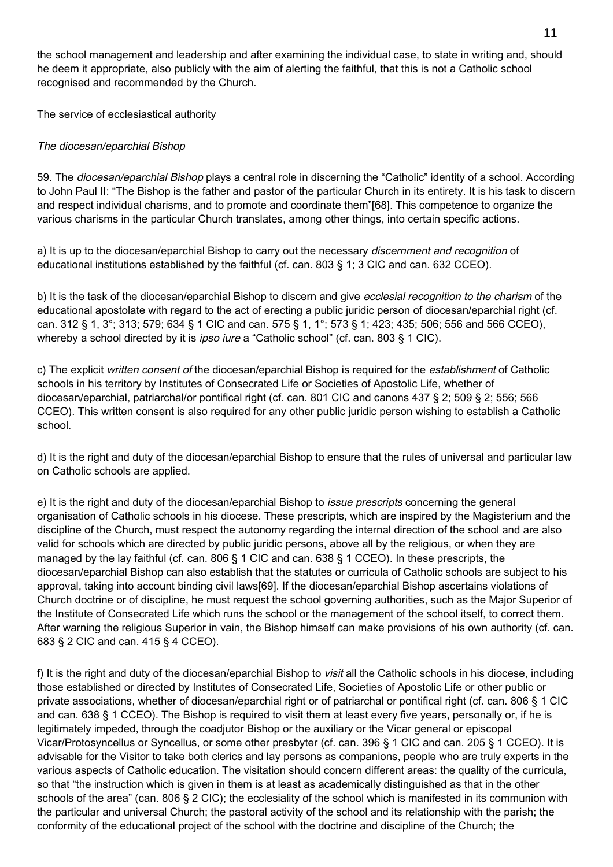the school management and leadership and after examining the individual case, to state in writing and, should he deem it appropriate, also publicly with the aim of alerting the faithful, that this is not a Catholic school recognised and recommended by the Church.

The service of ecclesiastical authority

### The diocesan/eparchial Bishop

59. The diocesan/eparchial Bishop plays a central role in discerning the "Catholic" identity of a school. According to John Paul II: "The Bishop is the father and pastor of the particular Church in its entirety. It is his task to discern and respect individual charisms, and to promote and coordinate them"[68]. This competence to organize the various charisms in the particular Church translates, among other things, into certain specific actions.

a) It is up to the diocesan/eparchial Bishop to carry out the necessary *discernment and recognition* of educational institutions established by the faithful (cf. can. 803 § 1; 3 CIC and can. 632 CCEO).

b) It is the task of the diocesan/eparchial Bishop to discern and give *ecclesial recognition to the charism* of the educational apostolate with regard to the act of erecting a public juridic person of diocesan/eparchial right (cf. can. 312 § 1, 3°; 313; 579; 634 § 1 CIC and can. 575 § 1, 1°; 573 § 1; 423; 435; 506; 556 and 566 CCEO), whereby a school directed by it is *ipso iure* a "Catholic school" (cf. can. 803 § 1 CIC).

c) The explicit written consent of the diocesan/eparchial Bishop is required for the establishment of Catholic schools in his territory by Institutes of Consecrated Life or Societies of Apostolic Life, whether of diocesan/eparchial, patriarchal/or pontifical right (cf. can. 801 CIC and canons 437 § 2; 509 § 2; 556; 566 CCEO). This written consent is also required for any other public juridic person wishing to establish a Catholic school.

d) It is the right and duty of the diocesan/eparchial Bishop to ensure that the rules of universal and particular law on Catholic schools are applied.

e) It is the right and duty of the diocesan/eparchial Bishop to *issue prescripts* concerning the general organisation of Catholic schools in his diocese. These prescripts, which are inspired by the Magisterium and the discipline of the Church, must respect the autonomy regarding the internal direction of the school and are also valid for schools which are directed by public juridic persons, above all by the religious, or when they are managed by the lay faithful (cf. can. 806 § 1 CIC and can. 638 § 1 CCEO). In these prescripts, the diocesan/eparchial Bishop can also establish that the statutes or curricula of Catholic schools are subject to his approval, taking into account binding civil laws[69]. If the diocesan/eparchial Bishop ascertains violations of Church doctrine or of discipline, he must request the school governing authorities, such as the Major Superior of the Institute of Consecrated Life which runs the school or the management of the school itself, to correct them. After warning the religious Superior in vain, the Bishop himself can make provisions of his own authority (cf. can. 683 § 2 CIC and can. 415 § 4 CCEO).

f) It is the right and duty of the diocesan/eparchial Bishop to *visit* all the Catholic schools in his diocese, including those established or directed by Institutes of Consecrated Life, Societies of Apostolic Life or other public or private associations, whether of diocesan/eparchial right or of patriarchal or pontifical right (cf. can. 806 § 1 CIC and can. 638 § 1 CCEO). The Bishop is required to visit them at least every five years, personally or, if he is legitimately impeded, through the coadjutor Bishop or the auxiliary or the Vicar general or episcopal Vicar/Protosyncellus or Syncellus, or some other presbyter (cf. can. 396 § 1 CIC and can. 205 § 1 CCEO). It is advisable for the Visitor to take both clerics and lay persons as companions, people who are truly experts in the various aspects of Catholic education. The visitation should concern different areas: the quality of the curricula, so that "the instruction which is given in them is at least as academically distinguished as that in the other schools of the area" (can. 806 § 2 CIC); the ecclesiality of the school which is manifested in its communion with the particular and universal Church; the pastoral activity of the school and its relationship with the parish; the conformity of the educational project of the school with the doctrine and discipline of the Church; the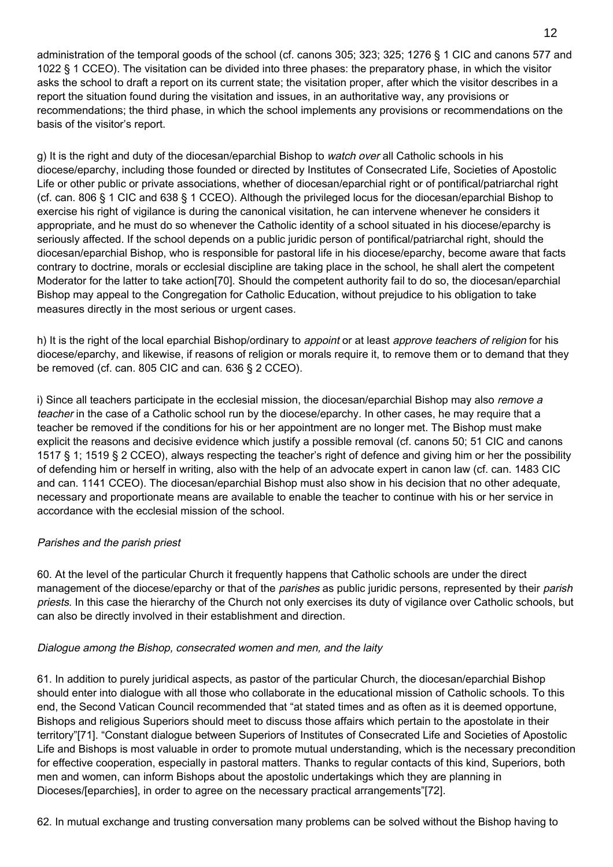administration of the temporal goods of the school (cf. canons 305; 323; 325; 1276 § 1 CIC and canons 577 and 1022 § 1 CCEO). The visitation can be divided into three phases: the preparatory phase, in which the visitor asks the school to draft a report on its current state; the visitation proper, after which the visitor describes in a report the situation found during the visitation and issues, in an authoritative way, any provisions or recommendations; the third phase, in which the school implements any provisions or recommendations on the basis of the visitor's report.

g) It is the right and duty of the diocesan/eparchial Bishop to watch over all Catholic schools in his diocese/eparchy, including those founded or directed by Institutes of Consecrated Life, Societies of Apostolic Life or other public or private associations, whether of diocesan/eparchial right or of pontifical/patriarchal right (cf. can. 806 § 1 CIC and 638 § 1 CCEO). Although the privileged locus for the diocesan/eparchial Bishop to exercise his right of vigilance is during the canonical visitation, he can intervene whenever he considers it appropriate, and he must do so whenever the Catholic identity of a school situated in his diocese/eparchy is seriously affected. If the school depends on a public juridic person of pontifical/patriarchal right, should the diocesan/eparchial Bishop, who is responsible for pastoral life in his diocese/eparchy, become aware that facts contrary to doctrine, morals or ecclesial discipline are taking place in the school, he shall alert the competent Moderator for the latter to take action[70]. Should the competent authority fail to do so, the diocesan/eparchial Bishop may appeal to the Congregation for Catholic Education, without prejudice to his obligation to take measures directly in the most serious or urgent cases.

h) It is the right of the local eparchial Bishop/ordinary to appoint or at least approve teachers of religion for his diocese/eparchy, and likewise, if reasons of religion or morals require it, to remove them or to demand that they be removed (cf. can. 805 CIC and can. 636 § 2 CCEO).

i) Since all teachers participate in the ecclesial mission, the diocesan/eparchial Bishop may also remove a teacher in the case of a Catholic school run by the diocese/eparchy. In other cases, he may require that a teacher be removed if the conditions for his or her appointment are no longer met. The Bishop must make explicit the reasons and decisive evidence which justify a possible removal (cf. canons 50; 51 CIC and canons 1517 § 1; 1519 § 2 CCEO), always respecting the teacher's right of defence and giving him or her the possibility of defending him or herself in writing, also with the help of an advocate expert in canon law (cf. can. 1483 CIC and can. 1141 CCEO). The diocesan/eparchial Bishop must also show in his decision that no other adequate, necessary and proportionate means are available to enable the teacher to continue with his or her service in accordance with the ecclesial mission of the school.

#### Parishes and the parish priest

60. At the level of the particular Church it frequently happens that Catholic schools are under the direct management of the diocese/eparchy or that of the *parishes* as public juridic persons, represented by their *parish* priests. In this case the hierarchy of the Church not only exercises its duty of vigilance over Catholic schools, but can also be directly involved in their establishment and direction.

#### Dialogue among the Bishop, consecrated women and men, and the laity

61. In addition to purely juridical aspects, as pastor of the particular Church, the diocesan/eparchial Bishop should enter into dialogue with all those who collaborate in the educational mission of Catholic schools. To this end, the Second Vatican Council recommended that "at stated times and as often as it is deemed opportune, Bishops and religious Superiors should meet to discuss those affairs which pertain to the apostolate in their territory"[71]. "Constant dialogue between Superiors of Institutes of Consecrated Life and Societies of Apostolic Life and Bishops is most valuable in order to promote mutual understanding, which is the necessary precondition for effective cooperation, especially in pastoral matters. Thanks to regular contacts of this kind, Superiors, both men and women, can inform Bishops about the apostolic undertakings which they are planning in Dioceses/[eparchies], in order to agree on the necessary practical arrangements"[72].

62. In mutual exchange and trusting conversation many problems can be solved without the Bishop having to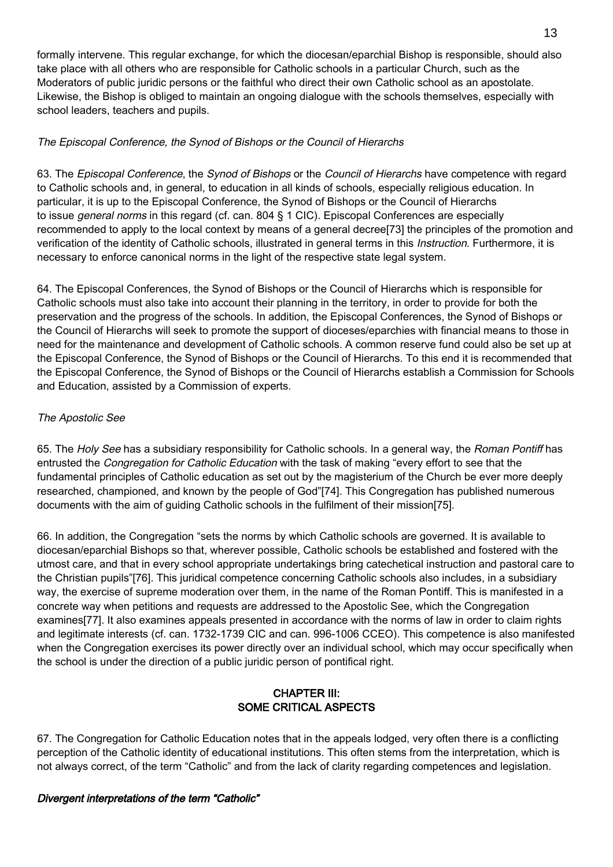formally intervene. This regular exchange, for which the diocesan/eparchial Bishop is responsible, should also take place with all others who are responsible for Catholic schools in a particular Church, such as the Moderators of public juridic persons or the faithful who direct their own Catholic school as an apostolate. Likewise, the Bishop is obliged to maintain an ongoing dialogue with the schools themselves, especially with school leaders, teachers and pupils.

### The Episcopal Conference, the Synod of Bishops or the Council of Hierarchs

63. The Episcopal Conference, the Synod of Bishops or the Council of Hierarchs have competence with regard to Catholic schools and, in general, to education in all kinds of schools, especially religious education. In particular, it is up to the Episcopal Conference, the Synod of Bishops or the Council of Hierarchs to issue *general norms* in this regard (cf. can. 804 § 1 CIC). Episcopal Conferences are especially recommended to apply to the local context by means of a general decree[73] the principles of the promotion and verification of the identity of Catholic schools, illustrated in general terms in this Instruction. Furthermore, it is necessary to enforce canonical norms in the light of the respective state legal system.

64. The Episcopal Conferences, the Synod of Bishops or the Council of Hierarchs which is responsible for Catholic schools must also take into account their planning in the territory, in order to provide for both the preservation and the progress of the schools. In addition, the Episcopal Conferences, the Synod of Bishops or the Council of Hierarchs will seek to promote the support of dioceses/eparchies with financial means to those in need for the maintenance and development of Catholic schools. A common reserve fund could also be set up at the Episcopal Conference, the Synod of Bishops or the Council of Hierarchs. To this end it is recommended that the Episcopal Conference, the Synod of Bishops or the Council of Hierarchs establish a Commission for Schools and Education, assisted by a Commission of experts.

#### The Apostolic See

65. The Holy See has a subsidiary responsibility for Catholic schools. In a general way, the Roman Pontiff has entrusted the Congregation for Catholic Education with the task of making "every effort to see that the fundamental principles of Catholic education as set out by the magisterium of the Church be ever more deeply researched, championed, and known by the people of God"[74]. This Congregation has published numerous documents with the aim of guiding Catholic schools in the fulfilment of their mission[75].

66. In addition, the Congregation "sets the norms by which Catholic schools are governed. It is available to diocesan/eparchial Bishops so that, wherever possible, Catholic schools be established and fostered with the utmost care, and that in every school appropriate undertakings bring catechetical instruction and pastoral care to the Christian pupils"[76]. This juridical competence concerning Catholic schools also includes, in a subsidiary way, the exercise of supreme moderation over them, in the name of the Roman Pontiff. This is manifested in a concrete way when petitions and requests are addressed to the Apostolic See, which the Congregation examines[77]. It also examines appeals presented in accordance with the norms of law in order to claim rights and legitimate interests (cf. can. 1732-1739 CIC and can. 996-1006 CCEO). This competence is also manifested when the Congregation exercises its power directly over an individual school, which may occur specifically when the school is under the direction of a public juridic person of pontifical right.

# CHAPTER III: SOME CRITICAL ASPECTS

67. The Congregation for Catholic Education notes that in the appeals lodged, very often there is a conflicting perception of the Catholic identity of educational institutions. This often stems from the interpretation, which is not always correct, of the term "Catholic" and from the lack of clarity regarding competences and legislation.

#### Divergent interpretations of the term "Catholic"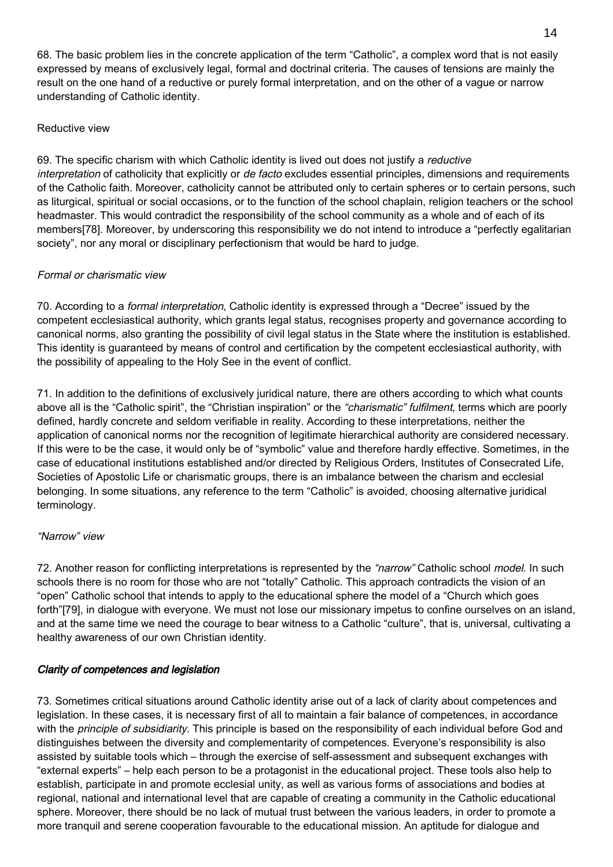68. The basic problem lies in the concrete application of the term "Catholic", a complex word that is not easily expressed by means of exclusively legal, formal and doctrinal criteria. The causes of tensions are mainly the result on the one hand of a reductive or purely formal interpretation, and on the other of a vague or narrow understanding of Catholic identity.

#### Reductive view

69. The specific charism with which Catholic identity is lived out does not justify a reductive interpretation of catholicity that explicitly or de facto excludes essential principles, dimensions and requirements of the Catholic faith. Moreover, catholicity cannot be attributed only to certain spheres or to certain persons, such as liturgical, spiritual or social occasions, or to the function of the school chaplain, religion teachers or the school headmaster. This would contradict the responsibility of the school community as a whole and of each of its members[78]. Moreover, by underscoring this responsibility we do not intend to introduce a "perfectly egalitarian society", nor any moral or disciplinary perfectionism that would be hard to judge.

# Formal or charismatic view

70. According to a formal interpretation, Catholic identity is expressed through a "Decree" issued by the competent ecclesiastical authority, which grants legal status, recognises property and governance according to canonical norms, also granting the possibility of civil legal status in the State where the institution is established. This identity is guaranteed by means of control and certification by the competent ecclesiastical authority, with the possibility of appealing to the Holy See in the event of conflict.

71. In addition to the definitions of exclusively juridical nature, there are others according to which what counts above all is the "Catholic spirit", the "Christian inspiration" or the "charismatic" fulfilment, terms which are poorly defined, hardly concrete and seldom verifiable in reality. According to these interpretations, neither the application of canonical norms nor the recognition of legitimate hierarchical authority are considered necessary. If this were to be the case, it would only be of "symbolic" value and therefore hardly effective. Sometimes, in the case of educational institutions established and/or directed by Religious Orders, Institutes of Consecrated Life, Societies of Apostolic Life or charismatic groups, there is an imbalance between the charism and ecclesial belonging. In some situations, any reference to the term "Catholic" is avoided, choosing alternative juridical terminology.

# "Narrow" view

72. Another reason for conflicting interpretations is represented by the "narrow" Catholic school model. In such schools there is no room for those who are not "totally" Catholic. This approach contradicts the vision of an "open" Catholic school that intends to apply to the educational sphere the model of a "Church which goes forth"[79], in dialogue with everyone. We must not lose our missionary impetus to confine ourselves on an island, and at the same time we need the courage to bear witness to a Catholic "culture", that is, universal, cultivating a healthy awareness of our own Christian identity.

# Clarity of competences and legislation

73. Sometimes critical situations around Catholic identity arise out of a lack of clarity about competences and legislation. In these cases, it is necessary first of all to maintain a fair balance of competences, in accordance with the principle of subsidiarity. This principle is based on the responsibility of each individual before God and distinguishes between the diversity and complementarity of competences. Everyone's responsibility is also assisted by suitable tools which – through the exercise of self-assessment and subsequent exchanges with "external experts" – help each person to be a protagonist in the educational project. These tools also help to establish, participate in and promote ecclesial unity, as well as various forms of associations and bodies at regional, national and international level that are capable of creating a community in the Catholic educational sphere. Moreover, there should be no lack of mutual trust between the various leaders, in order to promote a more tranquil and serene cooperation favourable to the educational mission. An aptitude for dialogue and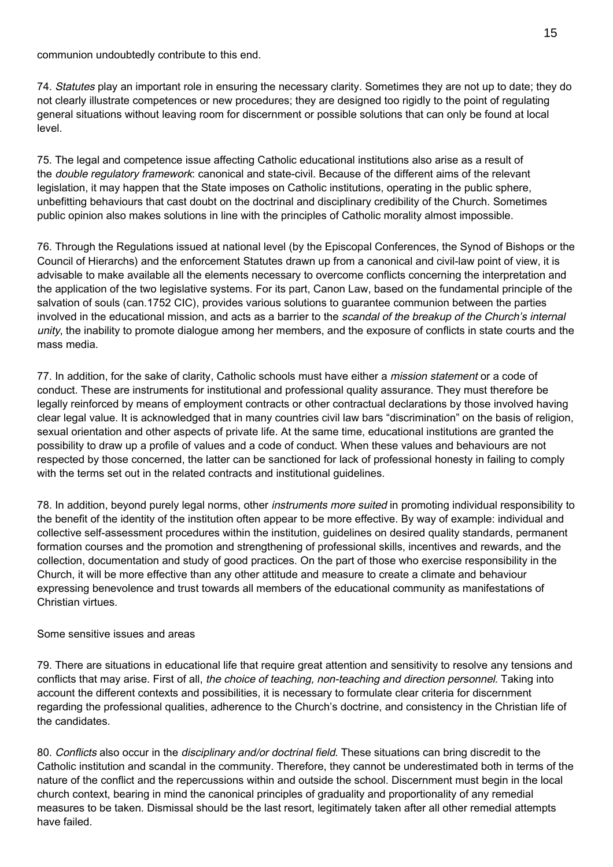communion undoubtedly contribute to this end.

74. Statutes play an important role in ensuring the necessary clarity. Sometimes they are not up to date; they do not clearly illustrate competences or new procedures; they are designed too rigidly to the point of regulating general situations without leaving room for discernment or possible solutions that can only be found at local level.

75. The legal and competence issue affecting Catholic educational institutions also arise as a result of the double regulatory framework: canonical and state-civil. Because of the different aims of the relevant legislation, it may happen that the State imposes on Catholic institutions, operating in the public sphere, unbefitting behaviours that cast doubt on the doctrinal and disciplinary credibility of the Church. Sometimes public opinion also makes solutions in line with the principles of Catholic morality almost impossible.

76. Through the Regulations issued at national level (by the Episcopal Conferences, the Synod of Bishops or the Council of Hierarchs) and the enforcement Statutes drawn up from a canonical and civil-law point of view, it is advisable to make available all the elements necessary to overcome conflicts concerning the interpretation and the application of the two legislative systems. For its part, Canon Law, based on the fundamental principle of the salvation of souls (can.1752 CIC), provides various solutions to guarantee communion between the parties involved in the educational mission, and acts as a barrier to the scandal of the breakup of the Church's internal unity, the inability to promote dialogue among her members, and the exposure of conflicts in state courts and the mass media.

77. In addition, for the sake of clarity, Catholic schools must have either a mission statement or a code of conduct. These are instruments for institutional and professional quality assurance. They must therefore be legally reinforced by means of employment contracts or other contractual declarations by those involved having clear legal value. It is acknowledged that in many countries civil law bars "discrimination" on the basis of religion, sexual orientation and other aspects of private life. At the same time, educational institutions are granted the possibility to draw up a profile of values and a code of conduct. When these values and behaviours are not respected by those concerned, the latter can be sanctioned for lack of professional honesty in failing to comply with the terms set out in the related contracts and institutional quidelines.

78. In addition, beyond purely legal norms, other instruments more suited in promoting individual responsibility to the benefit of the identity of the institution often appear to be more effective. By way of example: individual and collective self-assessment procedures within the institution, guidelines on desired quality standards, permanent formation courses and the promotion and strengthening of professional skills, incentives and rewards, and the collection, documentation and study of good practices. On the part of those who exercise responsibility in the Church, it will be more effective than any other attitude and measure to create a climate and behaviour expressing benevolence and trust towards all members of the educational community as manifestations of Christian virtues.

#### Some sensitive issues and areas

79. There are situations in educational life that require great attention and sensitivity to resolve any tensions and conflicts that may arise. First of all, the choice of teaching, non-teaching and direction personnel. Taking into account the different contexts and possibilities, it is necessary to formulate clear criteria for discernment regarding the professional qualities, adherence to the Church's doctrine, and consistency in the Christian life of the candidates.

80. Conflicts also occur in the disciplinary and/or doctrinal field. These situations can bring discredit to the Catholic institution and scandal in the community. Therefore, they cannot be underestimated both in terms of the nature of the conflict and the repercussions within and outside the school. Discernment must begin in the local church context, bearing in mind the canonical principles of graduality and proportionality of any remedial measures to be taken. Dismissal should be the last resort, legitimately taken after all other remedial attempts have failed.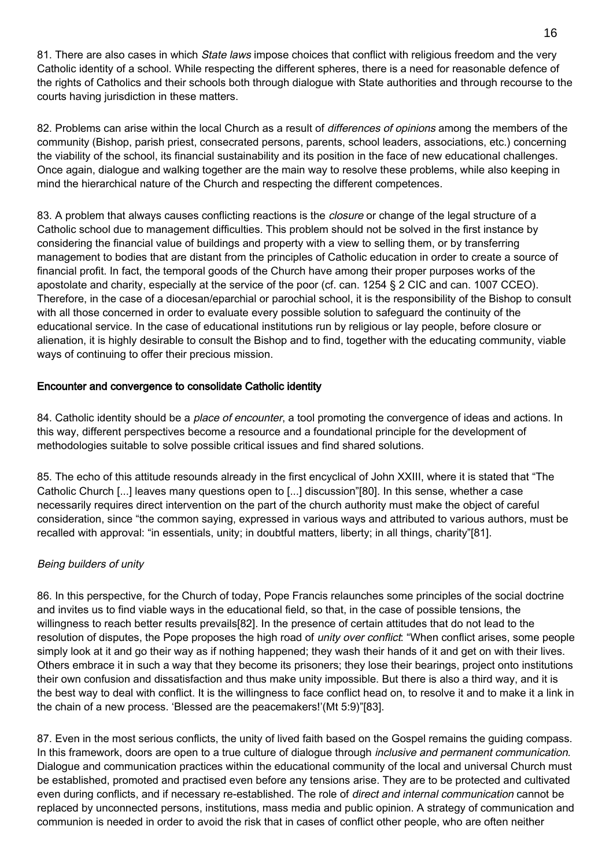81. There are also cases in which State laws impose choices that conflict with religious freedom and the very Catholic identity of a school. While respecting the different spheres, there is a need for reasonable defence of the rights of Catholics and their schools both through dialogue with State authorities and through recourse to the courts having jurisdiction in these matters.

82. Problems can arise within the local Church as a result of differences of opinions among the members of the community (Bishop, parish priest, consecrated persons, parents, school leaders, associations, etc.) concerning the viability of the school, its financial sustainability and its position in the face of new educational challenges. Once again, dialogue and walking together are the main way to resolve these problems, while also keeping in mind the hierarchical nature of the Church and respecting the different competences.

83. A problem that always causes conflicting reactions is the *closure* or change of the legal structure of a Catholic school due to management difficulties. This problem should not be solved in the first instance by considering the financial value of buildings and property with a view to selling them, or by transferring management to bodies that are distant from the principles of Catholic education in order to create a source of financial profit. In fact, the temporal goods of the Church have among their proper purposes works of the apostolate and charity, especially at the service of the poor (cf. can. 1254 § 2 CIC and can. 1007 CCEO). Therefore, in the case of a diocesan/eparchial or parochial school, it is the responsibility of the Bishop to consult with all those concerned in order to evaluate every possible solution to safeguard the continuity of the educational service. In the case of educational institutions run by religious or lay people, before closure or alienation, it is highly desirable to consult the Bishop and to find, together with the educating community, viable ways of continuing to offer their precious mission.

### Encounter and convergence to consolidate Catholic identity

84. Catholic identity should be a place of encounter, a tool promoting the convergence of ideas and actions. In this way, different perspectives become a resource and a foundational principle for the development of methodologies suitable to solve possible critical issues and find shared solutions.

85. The echo of this attitude resounds already in the first encyclical of John XXIII, where it is stated that "The Catholic Church [...] leaves many questions open to [...] discussion"[80]. In this sense, whether a case necessarily requires direct intervention on the part of the church authority must make the object of careful consideration, since "the common saying, expressed in various ways and attributed to various authors, must be recalled with approval: "in essentials, unity; in doubtful matters, liberty; in all things, charity"[81].

#### Being builders of unity

86. In this perspective, for the Church of today, Pope Francis relaunches some principles of the social doctrine and invites us to find viable ways in the educational field, so that, in the case of possible tensions, the willingness to reach better results prevails[82]. In the presence of certain attitudes that do not lead to the resolution of disputes, the Pope proposes the high road of *unity over conflict*: "When conflict arises, some people simply look at it and go their way as if nothing happened; they wash their hands of it and get on with their lives. Others embrace it in such a way that they become its prisoners; they lose their bearings, project onto institutions their own confusion and dissatisfaction and thus make unity impossible. But there is also a third way, and it is the best way to deal with conflict. It is the willingness to face conflict head on, to resolve it and to make it a link in the chain of a new process. 'Blessed are the peacemakers!'(Mt 5:9)"[83].

87. Even in the most serious conflicts, the unity of lived faith based on the Gospel remains the guiding compass. In this framework, doors are open to a true culture of dialogue through *inclusive and permanent communication*. Dialogue and communication practices within the educational community of the local and universal Church must be established, promoted and practised even before any tensions arise. They are to be protected and cultivated even during conflicts, and if necessary re-established. The role of direct and internal communication cannot be replaced by unconnected persons, institutions, mass media and public opinion. A strategy of communication and communion is needed in order to avoid the risk that in cases of conflict other people, who are often neither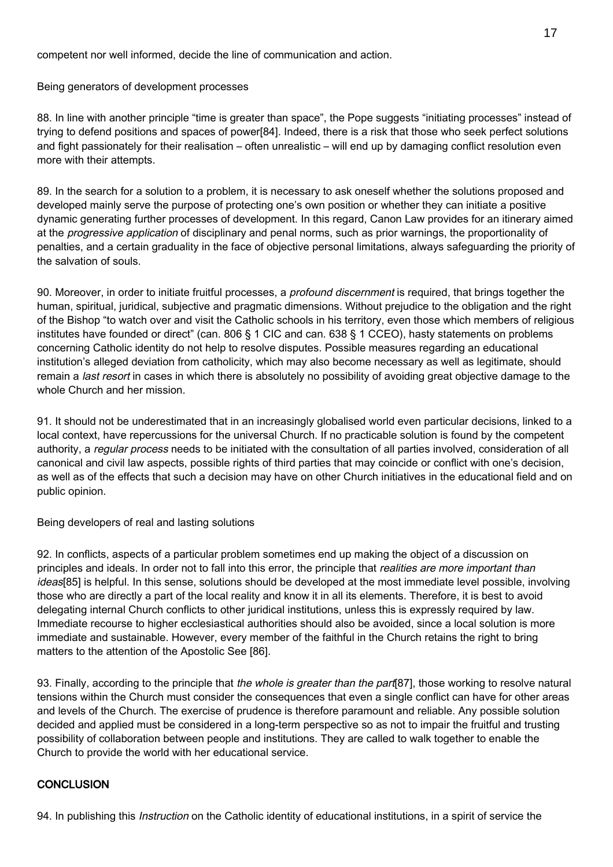competent nor well informed, decide the line of communication and action.

Being generators of development processes

88. In line with another principle "time is greater than space", the Pope suggests "initiating processes" instead of trying to defend positions and spaces of power[84]. Indeed, there is a risk that those who seek perfect solutions and fight passionately for their realisation – often unrealistic – will end up by damaging conflict resolution even more with their attempts.

89. In the search for a solution to a problem, it is necessary to ask oneself whether the solutions proposed and developed mainly serve the purpose of protecting one's own position or whether they can initiate a positive dynamic generating further processes of development. In this regard, Canon Law provides for an itinerary aimed at the progressive application of disciplinary and penal norms, such as prior warnings, the proportionality of penalties, and a certain graduality in the face of objective personal limitations, always safeguarding the priority of the salvation of souls.

90. Moreover, in order to initiate fruitful processes, a profound discernment is required, that brings together the human, spiritual, juridical, subjective and pragmatic dimensions. Without prejudice to the obligation and the right of the Bishop "to watch over and visit the Catholic schools in his territory, even those which members of religious institutes have founded or direct" (can. 806 § 1 CIC and can. 638 § 1 CCEO), hasty statements on problems concerning Catholic identity do not help to resolve disputes. Possible measures regarding an educational institution's alleged deviation from catholicity, which may also become necessary as well as legitimate, should remain a last resort in cases in which there is absolutely no possibility of avoiding great objective damage to the whole Church and her mission.

91. It should not be underestimated that in an increasingly globalised world even particular decisions, linked to a local context, have repercussions for the universal Church. If no practicable solution is found by the competent authority, a regular process needs to be initiated with the consultation of all parties involved, consideration of all canonical and civil law aspects, possible rights of third parties that may coincide or conflict with one's decision, as well as of the effects that such a decision may have on other Church initiatives in the educational field and on public opinion.

Being developers of real and lasting solutions

92. In conflicts, aspects of a particular problem sometimes end up making the object of a discussion on principles and ideals. In order not to fall into this error, the principle that realities are more important than ideas[85] is helpful. In this sense, solutions should be developed at the most immediate level possible, involving those who are directly a part of the local reality and know it in all its elements. Therefore, it is best to avoid delegating internal Church conflicts to other juridical institutions, unless this is expressly required by law. Immediate recourse to higher ecclesiastical authorities should also be avoided, since a local solution is more immediate and sustainable. However, every member of the faithful in the Church retains the right to bring matters to the attention of the Apostolic See [86].

93. Finally, according to the principle that the whole is greater than the part [87], those working to resolve natural tensions within the Church must consider the consequences that even a single conflict can have for other areas and levels of the Church. The exercise of prudence is therefore paramount and reliable. Any possible solution decided and applied must be considered in a long-term perspective so as not to impair the fruitful and trusting possibility of collaboration between people and institutions. They are called to walk together to enable the Church to provide the world with her educational service.

#### **CONCLUSION**

94. In publishing this *Instruction* on the Catholic identity of educational institutions, in a spirit of service the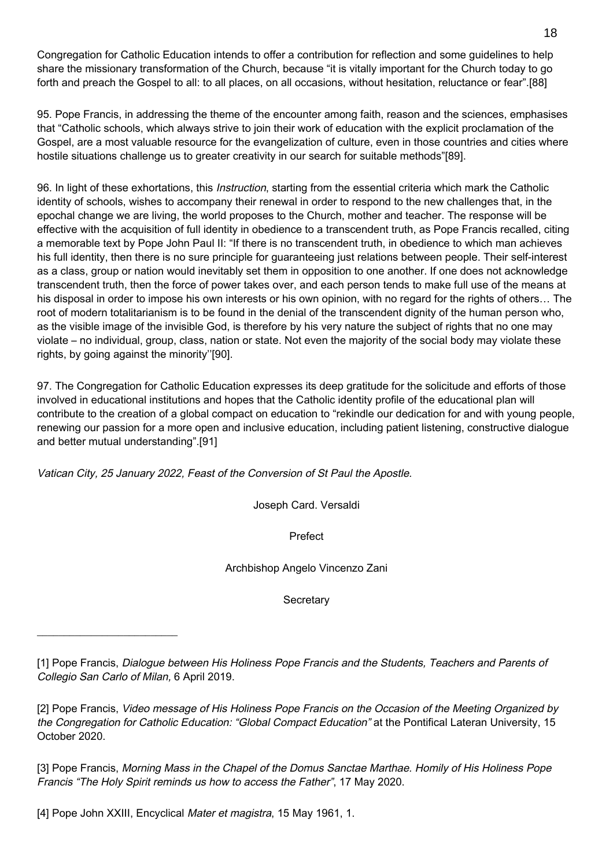Congregation for Catholic Education intends to offer a contribution for reflection and some guidelines to help share the missionary transformation of the Church, because "it is vitally important for the Church today to go forth and preach the Gospel to all: to all places, on all occasions, without hesitation, reluctance or fear".[88]

95. Pope Francis, in addressing the theme of the encounter among faith, reason and the sciences, emphasises that "Catholic schools, which always strive to join their work of education with the explicit proclamation of the Gospel, are a most valuable resource for the evangelization of culture, even in those countries and cities where hostile situations challenge us to greater creativity in our search for suitable methods"[89].

96. In light of these exhortations, this *Instruction*, starting from the essential criteria which mark the Catholic identity of schools, wishes to accompany their renewal in order to respond to the new challenges that, in the epochal change we are living, the world proposes to the Church, mother and teacher. The response will be effective with the acquisition of full identity in obedience to a transcendent truth, as Pope Francis recalled, citing a memorable text by Pope John Paul II: "If there is no transcendent truth, in obedience to which man achieves his full identity, then there is no sure principle for guaranteeing just relations between people. Their self-interest as a class, group or nation would inevitably set them in opposition to one another. If one does not acknowledge transcendent truth, then the force of power takes over, and each person tends to make full use of the means at his disposal in order to impose his own interests or his own opinion, with no regard for the rights of others… The root of modern totalitarianism is to be found in the denial of the transcendent dignity of the human person who, as the visible image of the invisible God, is therefore by his very nature the subject of rights that no one may violate – no individual, group, class, nation or state. Not even the majority of the social body may violate these rights, by going against the minority''[90].

97. The Congregation for Catholic Education expresses its deep gratitude for the solicitude and efforts of those involved in educational institutions and hopes that the Catholic identity profile of the educational plan will contribute to the creation of a global compact on education to "rekindle our dedication for and with young people, renewing our passion for a more open and inclusive education, including patient listening, constructive dialogue and better mutual understanding".[91]

Vatican City, 25 January 2022, Feast of the Conversion of St Paul the Apostle.

Joseph Card. Versaldi

Prefect

Archbishop Angelo Vincenzo Zani

**Secretary** 

[1] Pope Francis, Dialogue between His Holiness Pope Francis and the Students, Teachers and Parents of Collegio San Carlo of Milan, 6 April 2019.

[2] Pope Francis, Video message of His Holiness Pope Francis on the Occasion of the Meeting Organized by the Congregation for Catholic Education: "Global Compact Education" at the Pontifical Lateran University, 15 October 2020.

[3] Pope Francis, Morning Mass in the Chapel of the Domus Sanctae Marthae. Homily of His Holiness Pope Francis "The Holy Spirit reminds us how to access the Father", 17 May 2020.

[4] Pope John XXIII, Encyclical Mater et magistra, 15 May 1961, 1.

\_\_\_\_\_\_\_\_\_\_\_\_\_\_\_\_\_\_\_\_\_\_\_\_\_\_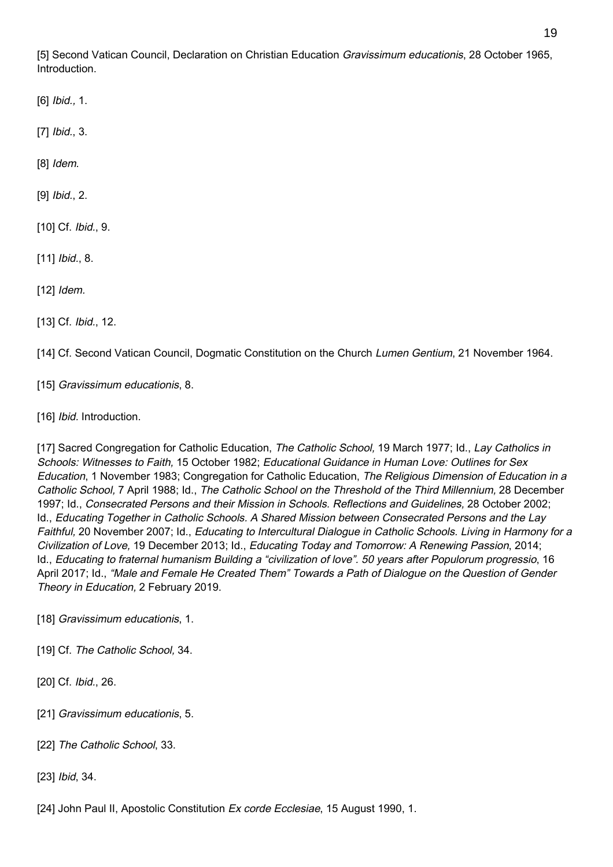[5] Second Vatican Council, Declaration on Christian Education Gravissimum educationis, 28 October 1965, Introduction.

[6] *Ibid.*, 1.

[7] *Ibid.*, 3.

[8] *Idem.* 

[9] Ibid., 2.

[10] Cf. Ibid., 9.

[11] *Ibid.*, 8.

[12] *Idem.* 

[13] Cf. Ibid., 12.

[14] Cf. Second Vatican Council, Dogmatic Constitution on the Church Lumen Gentium, 21 November 1964.

[15] Gravissimum educationis, 8.

[16] Ibid. Introduction.

[17] Sacred Congregation for Catholic Education, The Catholic School, 19 March 1977; Id., Lay Catholics in Schools: Witnesses to Faith, 15 October 1982; Educational Guidance in Human Love: Outlines for Sex Education, 1 November 1983; Congregation for Catholic Education, The Religious Dimension of Education in a Catholic School, 7 April 1988; Id., The Catholic School on the Threshold of the Third Millennium, 28 December 1997; Id., Consecrated Persons and their Mission in Schools. Reflections and Guidelines, 28 October 2002; Id., Educating Together in Catholic Schools. A Shared Mission between Consecrated Persons and the Lay Faithful, 20 November 2007; Id., Educating to Intercultural Dialogue in Catholic Schools. Living in Harmony for a Civilization of Love, 19 December 2013; Id., Educating Today and Tomorrow: A Renewing Passion, 2014; Id., Educating to fraternal humanism Building a "civilization of love". 50 years after Populorum progressio, 16 April 2017; Id., "Male and Female He Created Them" Towards a Path of Dialogue on the Question of Gender Theory in Education, 2 February 2019.

[18] Gravissimum educationis, 1.

[19] Cf. The Catholic School, 34.

[20] Cf. Ibid., 26.

[21] Gravissimum educationis, 5.

[22] The Catholic School, 33.

[23] *Ibid*, 34.

[24] John Paul II, Apostolic Constitution Ex corde Ecclesiae, 15 August 1990, 1.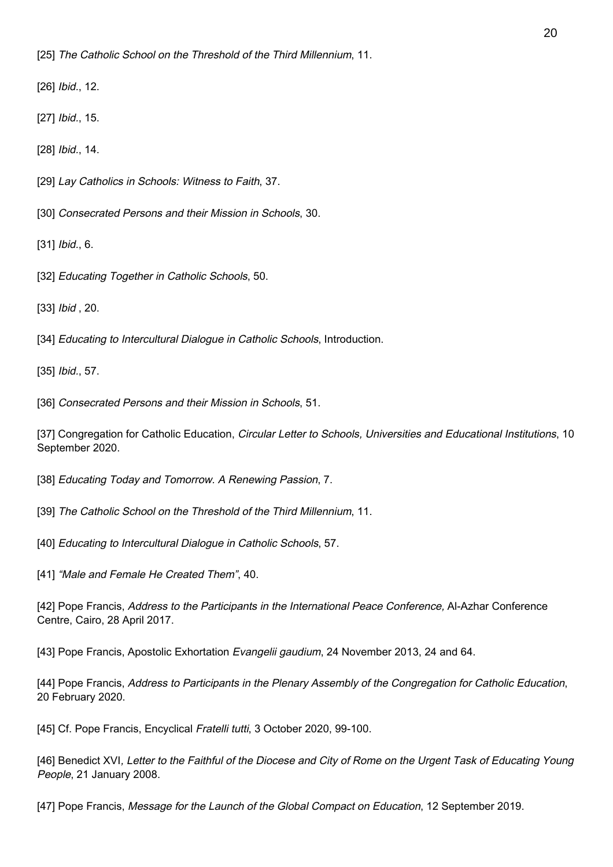[26] *Ibid.*, 12.

[27] *Ibid.*, 15.

[28] *Ibid.*, 14.

[29] Lay Catholics in Schools: Witness to Faith, 37.

[30] Consecrated Persons and their Mission in Schools, 30.

[31] *Ibid.*, 6.

[32] Educating Together in Catholic Schools, 50.

[33] *Ibid*, 20.

[34] Educating to Intercultural Dialogue in Catholic Schools, Introduction.

[35] Ibid., 57.

[36] Consecrated Persons and their Mission in Schools, 51.

[37] Congregation for Catholic Education, Circular Letter to Schools, Universities and Educational Institutions, 10 September 2020.

[38] Educating Today and Tomorrow. A Renewing Passion, 7.

[39] The Catholic School on the Threshold of the Third Millennium, 11.

[40] Educating to Intercultural Dialogue in Catholic Schools, 57.

[41] "Male and Female He Created Them", 40.

[42] Pope Francis, Address to the Participants in the International Peace Conference, Al-Azhar Conference Centre, Cairo, 28 April 2017.

[43] Pope Francis, Apostolic Exhortation Evangelii gaudium, 24 November 2013, 24 and 64.

[44] Pope Francis, Address to Participants in the Plenary Assembly of the Congregation for Catholic Education, 20 February 2020.

[45] Cf. Pope Francis, Encyclical Fratelli tutti, 3 October 2020, 99-100.

[46] Benedict XVI, Letter to the Faithful of the Diocese and City of Rome on the Urgent Task of Educating Young People, 21 January 2008.

[47] Pope Francis, Message for the Launch of the Global Compact on Education, 12 September 2019.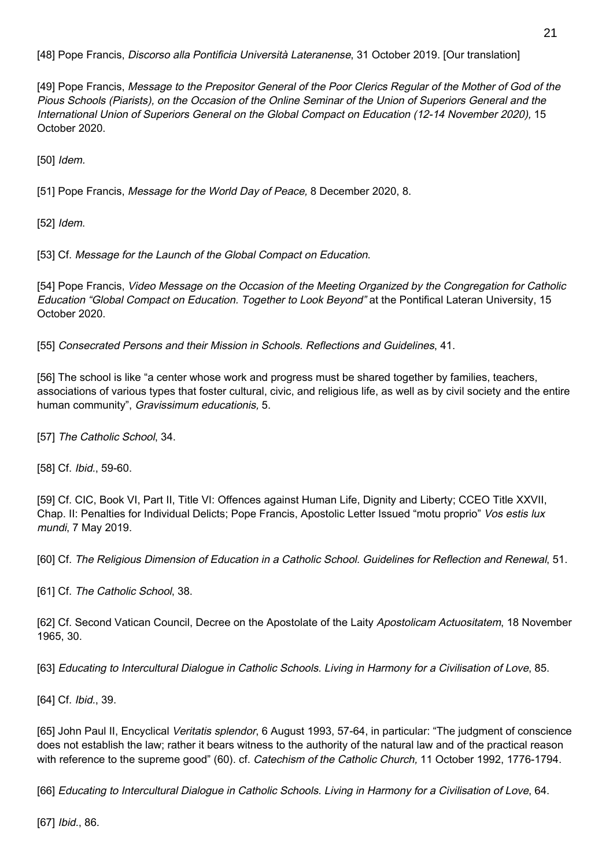[48] Pope Francis, Discorso alla Pontificia Università Lateranense, 31 October 2019. [Our translation]

[49] Pope Francis, Message to the Prepositor General of the Poor Clerics Regular of the Mother of God of the Pious Schools (Piarists), on the Occasion of the Online Seminar of the Union of Superiors General and the International Union of Superiors General on the Global Compact on Education (12-14 November 2020), 15 October 2020.

[50] *Idem.* 

[51] Pope Francis, Message for the World Day of Peace, 8 December 2020, 8.

[52] *Idem.* 

[53] Cf. Message for the Launch of the Global Compact on Education.

[54] Pope Francis, Video Message on the Occasion of the Meeting Organized by the Congregation for Catholic Education "Global Compact on Education. Together to Look Beyond" at the Pontifical Lateran University, 15 October 2020.

[55] Consecrated Persons and their Mission in Schools. Reflections and Guidelines, 41.

[56] The school is like "a center whose work and progress must be shared together by families, teachers, associations of various types that foster cultural, civic, and religious life, as well as by civil society and the entire human community", Gravissimum educationis, 5.

[57] The Catholic School, 34.

[58] Cf. Ibid., 59-60.

[59] Cf. CIC, Book VI, Part II, Title VI: Offences against Human Life, Dignity and Liberty; CCEO Title XXVII, Chap. II: Penalties for Individual Delicts; Pope Francis, Apostolic Letter Issued "motu proprio" Vos estis lux mundi, 7 May 2019.

[60] Cf. The Religious Dimension of Education in a Catholic School. Guidelines for Reflection and Renewal, 51.

[61] Cf. The Catholic School, 38.

[62] Cf. Second Vatican Council, Decree on the Apostolate of the Laity Apostolicam Actuositatem, 18 November 1965, 30.

[63] Educating to Intercultural Dialogue in Catholic Schools. Living in Harmony for a Civilisation of Love, 85.

[64] Cf. Ibid., 39.

[65] John Paul II, Encyclical Veritatis splendor, 6 August 1993, 57-64, in particular: "The judgment of conscience does not establish the law; rather it bears witness to the authority of the natural law and of the practical reason with reference to the supreme good" (60). cf. Catechism of the Catholic Church, 11 October 1992, 1776-1794.

[66] Educating to Intercultural Dialogue in Catholic Schools. Living in Harmony for a Civilisation of Love, 64.

[67] *Ibid.*, 86.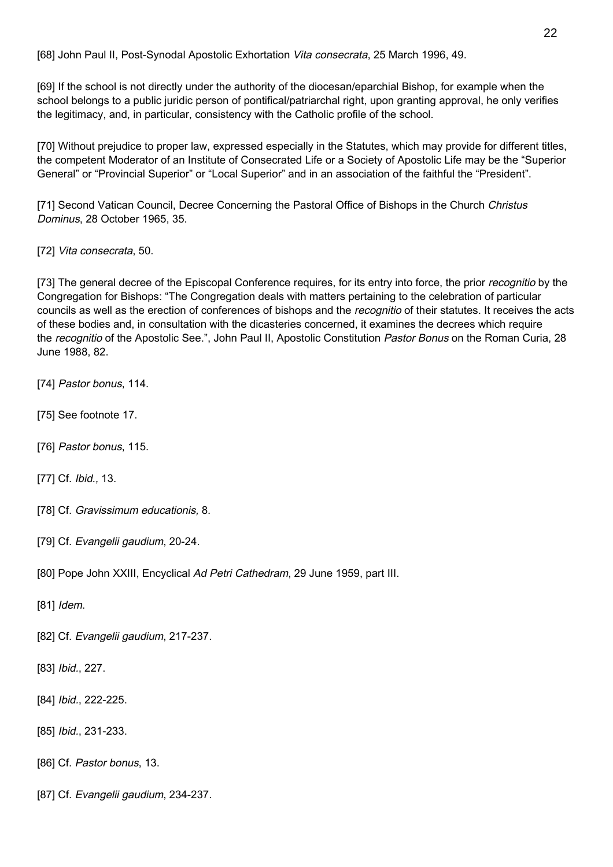[68] John Paul II, Post-Synodal Apostolic Exhortation Vita consecrata, 25 March 1996, 49.

[69] If the school is not directly under the authority of the diocesan/eparchial Bishop, for example when the school belongs to a public juridic person of pontifical/patriarchal right, upon granting approval, he only verifies the legitimacy, and, in particular, consistency with the Catholic profile of the school.

[70] Without prejudice to proper law, expressed especially in the Statutes, which may provide for different titles, the competent Moderator of an Institute of Consecrated Life or a Society of Apostolic Life may be the "Superior General" or "Provincial Superior" or "Local Superior" and in an association of the faithful the "President".

[71] Second Vatican Council, Decree Concerning the Pastoral Office of Bishops in the Church Christus Dominus, 28 October 1965, 35.

[72] Vita consecrata, 50.

[73] The general decree of the Episcopal Conference requires, for its entry into force, the prior *recognitio* by the Congregation for Bishops: "The Congregation deals with matters pertaining to the celebration of particular councils as well as the erection of conferences of bishops and the *recognitio* of their statutes. It receives the acts of these bodies and, in consultation with the dicasteries concerned, it examines the decrees which require the recognitio of the Apostolic See.", John Paul II, Apostolic Constitution Pastor Bonus on the Roman Curia, 28 June 1988, 82.

- [74] Pastor bonus, 114.
- [75] See footnote 17.
- [76] Pastor bonus, 115.
- [77] Cf. Ibid., 13.
- [78] Cf. Gravissimum educationis, 8.
- [79] Cf. Evangelii gaudium, 20-24.
- [80] Pope John XXIII, Encyclical Ad Petri Cathedram, 29 June 1959, part III.
- [81] *Idem.*
- [82] Cf. Evangelii gaudium, 217-237.
- [83] *Ibid.*, 227.
- [84] *Ibid.*, 222-225.
- [85] Ibid., 231-233.
- [86] Cf. Pastor bonus, 13.
- [87] Cf. Evangelii gaudium, 234-237.